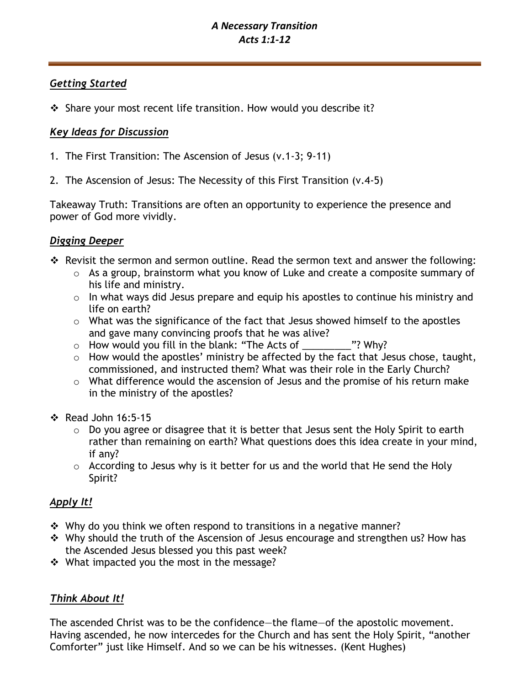# *A Necessary Transition Acts 1:1-12*

# *Getting Started*

❖ Share your most recent life transition. How would you describe it?

# *Key Ideas for Discussion*

- 1. The First Transition: The Ascension of Jesus (v.1-3; 9-11)
- 2. The Ascension of Jesus: The Necessity of this First Transition (v.4-5)

Takeaway Truth: Transitions are often an opportunity to experience the presence and power of God more vividly.

# *Digging Deeper*

- ❖ Revisit the sermon and sermon outline. Read the sermon text and answer the following:
	- o As a group, brainstorm what you know of Luke and create a composite summary of his life and ministry.
	- o In what ways did Jesus prepare and equip his apostles to continue his ministry and life on earth?
	- o What was the significance of the fact that Jesus showed himself to the apostles and gave many convincing proofs that he was alive?
	- $\circ$  How would you fill in the blank: "The Acts of  $\ddot{\hspace{1cm}}$ "? Why?
	- o How would the apostles' ministry be affected by the fact that Jesus chose, taught, commissioned, and instructed them? What was their role in the Early Church?
	- o What difference would the ascension of Jesus and the promise of his return make in the ministry of the apostles?
- ❖ Read John 16:5-15
	- o Do you agree or disagree that it is better that Jesus sent the Holy Spirit to earth rather than remaining on earth? What questions does this idea create in your mind, if any?
	- o According to Jesus why is it better for us and the world that He send the Holy Spirit?

# *Apply It!*

- ❖ Why do you think we often respond to transitions in a negative manner?
- ❖ Why should the truth of the Ascension of Jesus encourage and strengthen us? How has the Ascended Jesus blessed you this past week?
- ❖ What impacted you the most in the message?

# *Think About It!*

The ascended Christ was to be the confidence—the flame—of the apostolic movement. Having ascended, he now intercedes for the Church and has sent the Holy Spirit, "another Comforter" just like Himself. And so we can be his witnesses. (Kent Hughes)